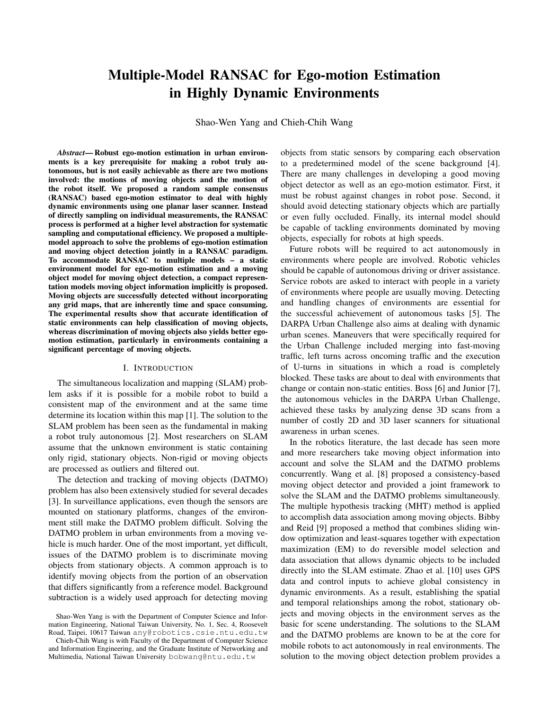# Multiple-Model RANSAC for Ego-motion Estimation in Highly Dynamic Environments

Shao-Wen Yang and Chieh-Chih Wang

*Abstract*— Robust ego-motion estimation in urban environments is a key prerequisite for making a robot truly autonomous, but is not easily achievable as there are two motions involved: the motions of moving objects and the motion of the robot itself. We proposed a random sample consensus (RANSAC) based ego-motion estimator to deal with highly dynamic environments using one planar laser scanner. Instead of directly sampling on individual measurements, the RANSAC process is performed at a higher level abstraction for systematic sampling and computational efficiency. We proposed a multiplemodel approach to solve the problems of ego-motion estimation and moving object detection jointly in a RANSAC paradigm. To accommodate RANSAC to multiple models – a static environment model for ego-motion estimation and a moving object model for moving object detection, a compact representation models moving object information implicitly is proposed. Moving objects are successfully detected without incorporating any grid maps, that are inherently time and space consuming. The experimental results show that accurate identification of static environments can help classification of moving objects, whereas discrimination of moving objects also yields better egomotion estimation, particularly in environments containing a significant percentage of moving objects.

## I. INTRODUCTION

The simultaneous localization and mapping (SLAM) problem asks if it is possible for a mobile robot to build a consistent map of the environment and at the same time determine its location within this map [1]. The solution to the SLAM problem has been seen as the fundamental in making a robot truly autonomous [2]. Most researchers on SLAM assume that the unknown environment is static containing only rigid, stationary objects. Non-rigid or moving objects are processed as outliers and filtered out.

The detection and tracking of moving objects (DATMO) problem has also been extensively studied for several decades [3]. In surveillance applications, even though the sensors are mounted on stationary platforms, changes of the environment still make the DATMO problem difficult. Solving the DATMO problem in urban environments from a moving vehicle is much harder. One of the most important, yet difficult, issues of the DATMO problem is to discriminate moving objects from stationary objects. A common approach is to identify moving objects from the portion of an observation that differs significantly from a reference model. Background subtraction is a widely used approach for detecting moving objects from static sensors by comparing each observation to a predetermined model of the scene background [4]. There are many challenges in developing a good moving object detector as well as an ego-motion estimator. First, it must be robust against changes in robot pose. Second, it should avoid detecting stationary objects which are partially or even fully occluded. Finally, its internal model should be capable of tackling environments dominated by moving objects, especially for robots at high speeds.

Future robots will be required to act autonomously in environments where people are involved. Robotic vehicles should be capable of autonomous driving or driver assistance. Service robots are asked to interact with people in a variety of environments where people are usually moving. Detecting and handling changes of environments are essential for the successful achievement of autonomous tasks [5]. The DARPA Urban Challenge also aims at dealing with dynamic urban scenes. Maneuvers that were specifically required for the Urban Challenge included merging into fast-moving traffic, left turns across oncoming traffic and the execution of U-turns in situations in which a road is completely blocked. These tasks are about to deal with environments that change or contain non-static entities. Boss [6] and Junior [7], the autonomous vehicles in the DARPA Urban Challenge, achieved these tasks by analyzing dense 3D scans from a number of costly 2D and 3D laser scanners for situational awareness in urban scenes.

In the robotics literature, the last decade has seen more and more researchers take moving object information into account and solve the SLAM and the DATMO problems concurrently. Wang et al. [8] proposed a consistency-based moving object detector and provided a joint framework to solve the SLAM and the DATMO problems simultaneously. The multiple hypothesis tracking (MHT) method is applied to accomplish data association among moving objects. Bibby and Reid [9] proposed a method that combines sliding window optimization and least-squares together with expectation maximization (EM) to do reversible model selection and data association that allows dynamic objects to be included directly into the SLAM estimate. Zhao et al. [10] uses GPS data and control inputs to achieve global consistency in dynamic environments. As a result, establishing the spatial and temporal relationships among the robot, stationary objects and moving objects in the environment serves as the basic for scene understanding. The solutions to the SLAM and the DATMO problems are known to be at the core for mobile robots to act autonomously in real environments. The solution to the moving object detection problem provides a

Shao-Wen Yang is with the Department of Computer Science and Information Engineering, National Taiwan University, No. 1, Sec. 4, Roosevelt Road, Taipei, 10617 Taiwan any@robotics.csie.ntu.edu.tw

Chieh-Chih Wang is with Faculty of the Department of Computer Science and Information Engineering, and the Graduate Institute of Networking and Multimedia, National Taiwan University bobwang@ntu.edu.tw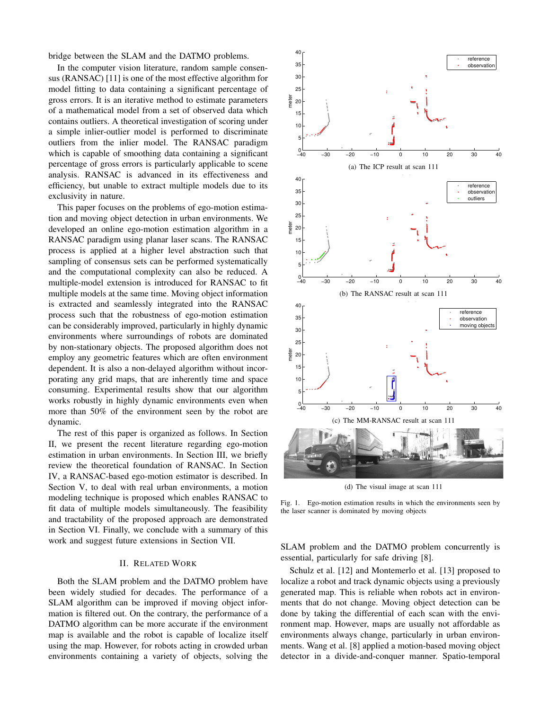bridge between the SLAM and the DATMO problems.

In the computer vision literature, random sample consensus (RANSAC) [11] is one of the most effective algorithm for model fitting to data containing a significant percentage of gross errors. It is an iterative method to estimate parameters of a mathematical model from a set of observed data which contains outliers. A theoretical investigation of scoring under a simple inlier-outlier model is performed to discriminate outliers from the inlier model. The RANSAC paradigm which is capable of smoothing data containing a significant percentage of gross errors is particularly applicable to scene analysis. RANSAC is advanced in its effectiveness and efficiency, but unable to extract multiple models due to its exclusivity in nature.

This paper focuses on the problems of ego-motion estimation and moving object detection in urban environments. We developed an online ego-motion estimation algorithm in a RANSAC paradigm using planar laser scans. The RANSAC process is applied at a higher level abstraction such that sampling of consensus sets can be performed systematically and the computational complexity can also be reduced. A multiple-model extension is introduced for RANSAC to fit multiple models at the same time. Moving object information is extracted and seamlessly integrated into the RANSAC process such that the robustness of ego-motion estimation can be considerably improved, particularly in highly dynamic environments where surroundings of robots are dominated by non-stationary objects. The proposed algorithm does not employ any geometric features which are often environment dependent. It is also a non-delayed algorithm without incorporating any grid maps, that are inherently time and space consuming. Experimental results show that our algorithm works robustly in highly dynamic environments even when more than 50% of the environment seen by the robot are dynamic.

The rest of this paper is organized as follows. In Section II, we present the recent literature regarding ego-motion estimation in urban environments. In Section III, we briefly review the theoretical foundation of RANSAC. In Section IV, a RANSAC-based ego-motion estimator is described. In Section V, to deal with real urban environments, a motion modeling technique is proposed which enables RANSAC to fit data of multiple models simultaneously. The feasibility and tractability of the proposed approach are demonstrated in Section VI. Finally, we conclude with a summary of this work and suggest future extensions in Section VII.

# II. RELATED WORK

Both the SLAM problem and the DATMO problem have been widely studied for decades. The performance of a SLAM algorithm can be improved if moving object information is filtered out. On the contrary, the performance of a DATMO algorithm can be more accurate if the environment map is available and the robot is capable of localize itself using the map. However, for robots acting in crowded urban environments containing a variety of objects, solving the



(d) The visual image at scan 111

Fig. 1. Ego-motion estimation results in which the environments seen by the laser scanner is dominated by moving objects

SLAM problem and the DATMO problem concurrently is essential, particularly for safe driving [8].

Schulz et al. [12] and Montemerlo et al. [13] proposed to localize a robot and track dynamic objects using a previously generated map. This is reliable when robots act in environments that do not change. Moving object detection can be done by taking the differential of each scan with the environment map. However, maps are usually not affordable as environments always change, particularly in urban environments. Wang et al. [8] applied a motion-based moving object detector in a divide-and-conquer manner. Spatio-temporal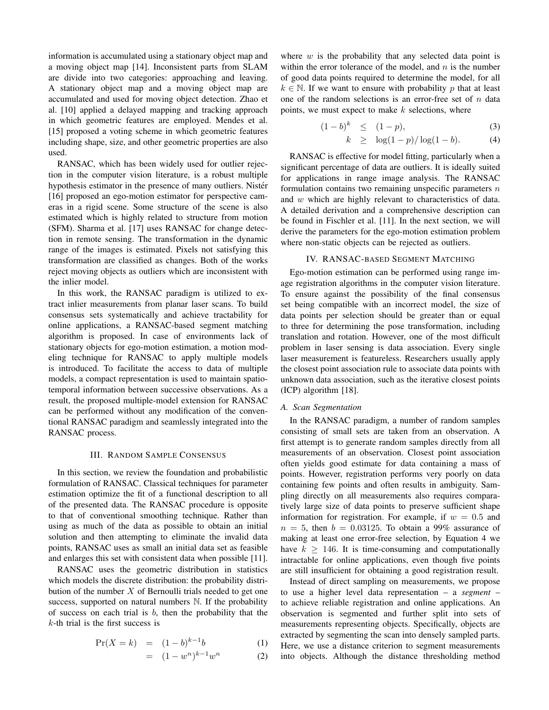information is accumulated using a stationary object map and a moving object map [14]. Inconsistent parts from SLAM are divide into two categories: approaching and leaving. A stationary object map and a moving object map are accumulated and used for moving object detection. Zhao et al. [10] applied a delayed mapping and tracking approach in which geometric features are employed. Mendes et al. [15] proposed a voting scheme in which geometric features including shape, size, and other geometric properties are also used.

RANSAC, which has been widely used for outlier rejection in the computer vision literature, is a robust multiple hypothesis estimator in the presence of many outliers. Nistér [16] proposed an ego-motion estimator for perspective cameras in a rigid scene. Some structure of the scene is also estimated which is highly related to structure from motion (SFM). Sharma et al. [17] uses RANSAC for change detection in remote sensing. The transformation in the dynamic range of the images is estimated. Pixels not satisfying this transformation are classified as changes. Both of the works reject moving objects as outliers which are inconsistent with the inlier model.

In this work, the RANSAC paradigm is utilized to extract inlier measurements from planar laser scans. To build consensus sets systematically and achieve tractability for online applications, a RANSAC-based segment matching algorithm is proposed. In case of environments lack of stationary objects for ego-motion estimation, a motion modeling technique for RANSAC to apply multiple models is introduced. To facilitate the access to data of multiple models, a compact representation is used to maintain spatiotemporal information between successive observations. As a result, the proposed multiple-model extension for RANSAC can be performed without any modification of the conventional RANSAC paradigm and seamlessly integrated into the RANSAC process.

## III. RANDOM SAMPLE CONSENSUS

In this section, we review the foundation and probabilistic formulation of RANSAC. Classical techniques for parameter estimation optimize the fit of a functional description to all of the presented data. The RANSAC procedure is opposite to that of conventional smoothing technique. Rather than using as much of the data as possible to obtain an initial solution and then attempting to eliminate the invalid data points, RANSAC uses as small an initial data set as feasible and enlarges this set with consistent data when possible [11].

RANSAC uses the geometric distribution in statistics which models the discrete distribution: the probability distribution of the number  $X$  of Bernoulli trials needed to get one success, supported on natural numbers  $N$ . If the probability of success on each trial is  $b$ , then the probability that the  $k$ -th trial is the first success is

$$
\Pr(X = k) = (1 - b)^{k-1}b \tag{1}
$$

$$
= (1 - w^n)^{k-1} w^n \tag{2}
$$

where  $w$  is the probability that any selected data point is within the error tolerance of the model, and  $n$  is the number of good data points required to determine the model, for all  $k \in \mathbb{N}$ . If we want to ensure with probability p that at least one of the random selections is an error-free set of  $n$  data points, we must expect to make  $k$  selections, where

$$
(1-b)^k \le (1-p), \tag{3}
$$

$$
k \ge \log(1-p)/\log(1-b). \tag{4}
$$

RANSAC is effective for model fitting, particularly when a significant percentage of data are outliers. It is ideally suited for applications in range image analysis. The RANSAC formulation contains two remaining unspecific parameters  $n$ and w which are highly relevant to characteristics of data. A detailed derivation and a comprehensive description can be found in Fischler et al. [11]. In the next section, we will derive the parameters for the ego-motion estimation problem where non-static objects can be rejected as outliers.

# IV. RANSAC-BASED SEGMENT MATCHING

Ego-motion estimation can be performed using range image registration algorithms in the computer vision literature. To ensure against the possibility of the final consensus set being compatible with an incorrect model, the size of data points per selection should be greater than or equal to three for determining the pose transformation, including translation and rotation. However, one of the most difficult problem in laser sensing is data association. Every single laser measurement is featureless. Researchers usually apply the closest point association rule to associate data points with unknown data association, such as the iterative closest points (ICP) algorithm [18].

# *A. Scan Segmentation*

In the RANSAC paradigm, a number of random samples consisting of small sets are taken from an observation. A first attempt is to generate random samples directly from all measurements of an observation. Closest point association often yields good estimate for data containing a mass of points. However, registration performs very poorly on data containing few points and often results in ambiguity. Sampling directly on all measurements also requires comparatively large size of data points to preserve sufficient shape information for registration. For example, if  $w = 0.5$  and  $n = 5$ , then  $b = 0.03125$ . To obtain a 99% assurance of making at least one error-free selection, by Equation 4 we have  $k \geq 146$ . It is time-consuming and computationally intractable for online applications, even though five points are still insufficient for obtaining a good registration result.

Instead of direct sampling on measurements, we propose to use a higher level data representation – a *segment* – to achieve reliable registration and online applications. An observation is segmented and further split into sets of measurements representing objects. Specifically, objects are extracted by segmenting the scan into densely sampled parts. Here, we use a distance criterion to segment measurements into objects. Although the distance thresholding method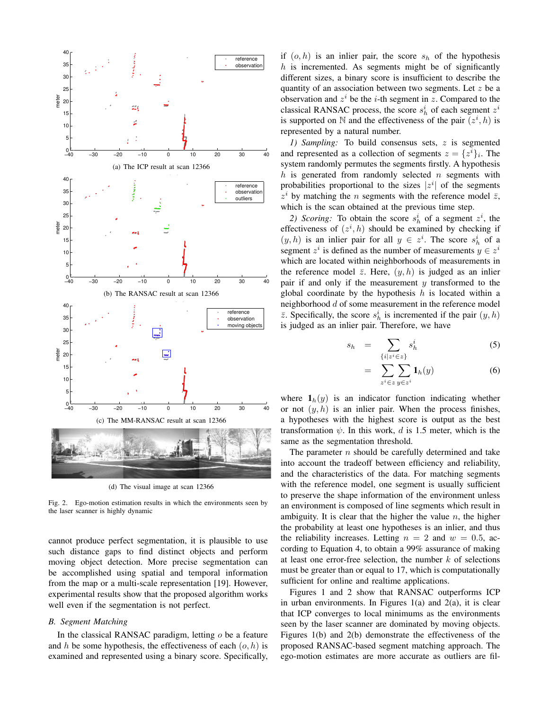

(d) The visual image at scan 12366

Fig. 2. Ego-motion estimation results in which the environments seen by the laser scanner is highly dynamic

cannot produce perfect segmentation, it is plausible to use such distance gaps to find distinct objects and perform moving object detection. More precise segmentation can be accomplished using spatial and temporal information from the map or a multi-scale representation [19]. However, experimental results show that the proposed algorithm works well even if the segmentation is not perfect.

## *B. Segment Matching*

In the classical RANSAC paradigm, letting  $o$  be a feature and h be some hypothesis, the effectiveness of each  $(o, h)$  is examined and represented using a binary score. Specifically,

if  $(o, h)$  is an inlier pair, the score  $s_h$  of the hypothesis  $h$  is incremented. As segments might be of significantly different sizes, a binary score is insufficient to describe the quantity of an association between two segments. Let  $z$  be a observation and  $z^i$  be the *i*-th segment in z. Compared to the classical RANSAC process, the score  $s_h^i$  of each segment  $z^i$ is supported on  $\mathbb N$  and the effectiveness of the pair  $(z^i, h)$  is represented by a natural number.

*1) Sampling:* To build consensus sets, z is segmented and represented as a collection of segments  $z = \{z^i\}_i$ . The system randomly permutes the segments firstly. A hypothesis h is generated from randomly selected n segments with probabilities proportional to the sizes  $|z^i|$  of the segments  $z^i$  by matching the *n* segments with the reference model  $\bar{z}$ , which is the scan obtained at the previous time step.

2) *Scoring:* To obtain the score  $s_h^i$  of a segment  $z^i$ , the effectiveness of  $(z^i, h)$  should be examined by checking if  $(y, h)$  is an inlier pair for all  $y \in z^i$ . The score  $s^i_h$  of a segment  $z^i$  is defined as the number of measurements  $y \in z^i$ which are located within neighborhoods of measurements in the reference model  $\bar{z}$ . Here,  $(y, h)$  is judged as an inlier pair if and only if the measurement  $y$  transformed to the global coordinate by the hypothesis  $h$  is located within a neighborhood d of some measurement in the reference model  $\bar{z}$ . Specifically, the score  $s_h^i$  is incremented if the pair  $(y, h)$ is judged as an inlier pair. Therefore, we have

$$
s_h = \sum_{\{i|z^i \in z\}} s_h^i \tag{5}
$$

$$
= \sum_{z^i \in z} \sum_{y \in z^i} \mathbf{1}_h(y) \tag{6}
$$

where  $\mathbf{1}_{h}(y)$  is an indicator function indicating whether or not  $(y, h)$  is an inlier pair. When the process finishes, a hypotheses with the highest score is output as the best transformation  $\psi$ . In this work, d is 1.5 meter, which is the same as the segmentation threshold.

The parameter  $n$  should be carefully determined and take into account the tradeoff between efficiency and reliability, and the characteristics of the data. For matching segments with the reference model, one segment is usually sufficient to preserve the shape information of the environment unless an environment is composed of line segments which result in ambiguity. It is clear that the higher the value  $n$ , the higher the probability at least one hypotheses is an inlier, and thus the reliability increases. Letting  $n = 2$  and  $w = 0.5$ , according to Equation 4, to obtain a 99% assurance of making at least one error-free selection, the number  $k$  of selections must be greater than or equal to 17, which is computationally sufficient for online and realtime applications.

Figures 1 and 2 show that RANSAC outperforms ICP in urban environments. In Figures  $1(a)$  and  $2(a)$ , it is clear that ICP converges to local minimums as the environments seen by the laser scanner are dominated by moving objects. Figures 1(b) and 2(b) demonstrate the effectiveness of the proposed RANSAC-based segment matching approach. The ego-motion estimates are more accurate as outliers are fil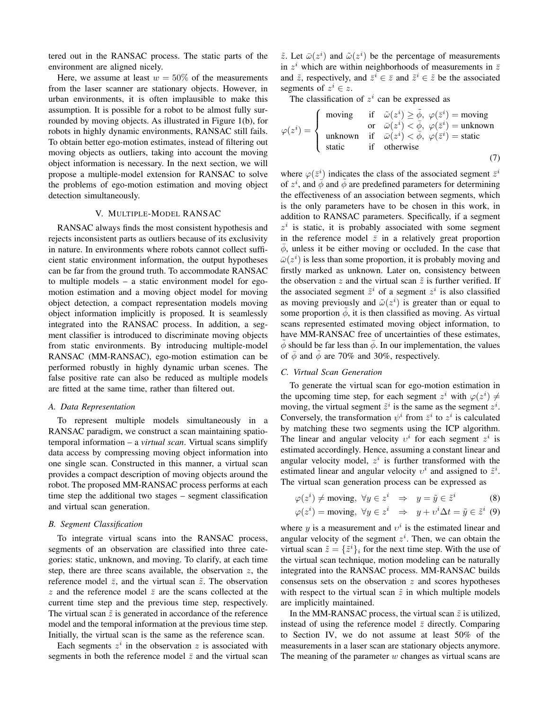tered out in the RANSAC process. The static parts of the environment are aligned nicely.

Here, we assume at least  $w = 50\%$  of the measurements from the laser scanner are stationary objects. However, in urban environments, it is often implausible to make this assumption. It is possible for a robot to be almost fully surrounded by moving objects. As illustrated in Figure 1(b), for robots in highly dynamic environments, RANSAC still fails. To obtain better ego-motion estimates, instead of filtering out moving objects as outliers, taking into account the moving object information is necessary. In the next section, we will propose a multiple-model extension for RANSAC to solve the problems of ego-motion estimation and moving object detection simultaneously.

## V. MULTIPLE-MODEL RANSAC

RANSAC always finds the most consistent hypothesis and rejects inconsistent parts as outliers because of its exclusivity in nature. In environments where robots cannot collect sufficient static environment information, the output hypotheses can be far from the ground truth. To accommodate RANSAC to multiple models – a static environment model for egomotion estimation and a moving object model for moving object detection, a compact representation models moving object information implicitly is proposed. It is seamlessly integrated into the RANSAC process. In addition, a segment classifier is introduced to discriminate moving objects from static environments. By introducing multiple-model RANSAC (MM-RANSAC), ego-motion estimation can be performed robustly in highly dynamic urban scenes. The false positive rate can also be reduced as multiple models are fitted at the same time, rather than filtered out.

## *A. Data Representation*

To represent multiple models simultaneously in a RANSAC paradigm, we construct a scan maintaining spatiotemporal information – a *virtual scan*. Virtual scans simplify data access by compressing moving object information into one single scan. Constructed in this manner, a virtual scan provides a compact description of moving objects around the robot. The proposed MM-RANSAC process performs at each time step the additional two stages – segment classification and virtual scan generation.

#### *B. Segment Classification*

To integrate virtual scans into the RANSAC process, segments of an observation are classified into three categories: static, unknown, and moving. To clarify, at each time step, there are three scans available, the observation  $z$ , the reference model  $\bar{z}$ , and the virtual scan  $\tilde{z}$ . The observation  $z$  and the reference model  $\bar{z}$  are the scans collected at the current time step and the previous time step, respectively. The virtual scan  $\tilde{z}$  is generated in accordance of the reference model and the temporal information at the previous time step. Initially, the virtual scan is the same as the reference scan.

Each segments  $z^i$  in the observation z is associated with segments in both the reference model  $\bar{z}$  and the virtual scan  $\tilde{z}$ . Let  $\bar{\omega}(z^i)$  and  $\tilde{\omega}(z^i)$  be the percentage of measurements in  $z^i$  which are within neighborhoods of measurements in  $\bar{z}$ and  $\tilde{z}$ , respectively, and  $\bar{z}^i \in \bar{z}$  and  $\tilde{z}^i \in \tilde{z}$  be the associated segments of  $z^i \in z$ .

The classification of  $z^i$  can be expressed as

$$
\varphi(z^i) = \begin{cases}\n\text{moving} & \text{if } \tilde{\omega}(z^i) \ge \tilde{\phi}, \ \varphi(\bar{z}^i) = \text{moving} \\
\text{or } \bar{\omega}(z^i) < \bar{\phi}, \ \varphi(\bar{z}^i) = \text{unknown} \\
\text{unknown} & \text{if } \bar{\omega}(z^i) < \bar{\phi}, \ \varphi(\bar{z}^i) = \text{static} \\
\text{static} & \text{if } \text{otherwise}\n\end{cases} \tag{7}
$$

where  $\varphi(\bar{z}^i)$  indicates the class of the associated segment  $\bar{z}^i$ of  $z^i$ , and  $\vec{\phi}$  and  $\vec{\phi}$  are predefined parameters for determining the effectiveness of an association between segments, which is the only parameters have to be chosen in this work, in addition to RANSAC parameters. Specifically, if a segment  $z^i$  is static, it is probably associated with some segment in the reference model  $\bar{z}$  in a relatively great proportion  $\bar{\phi}$ , unless it be either moving or occluded. In the case that  $\bar{\omega}(z^i)$  is less than some proportion, it is probably moving and firstly marked as unknown. Later on, consistency between the observation  $z$  and the virtual scan  $\tilde{z}$  is further verified. If the associated segment  $\tilde{z}^i$  of a segment  $z^i$  is also classified as moving previously and  $\tilde{\omega}(z^i)$  is greater than or equal to some proportion  $\phi$ , it is then classified as moving. As virtual scans represented estimated moving object information, to have MM-RANSAC free of uncertainties of these estimates,  $\phi$  should be far less than  $\overline{\phi}$ . In our implementation, the values of  $\overline{\phi}$  and  $\phi$  are 70% and 30%, respectively.

# *C. Virtual Scan Generation*

To generate the virtual scan for ego-motion estimation in the upcoming time step, for each segment  $z^i$  with  $\varphi(z^i) \neq$ moving, the virtual segment  $\tilde{z}^i$  is the same as the segment  $z^i$ . Conversely, the transformation  $\psi^i$  from  $\bar{z}^i$  to  $z^i$  is calculated by matching these two segments using the ICP algorithm. The linear and angular velocity  $v^i$  for each segment  $z^i$  is estimated accordingly. Hence, assuming a constant linear and angular velocity model,  $z^i$  is further transformed with the estimated linear and angular velocity  $v^i$  and assigned to  $\tilde{z}^i$ . The virtual scan generation process can be expressed as

$$
\varphi(z^i) \neq \text{moving}, \ \forall y \in z^i \Rightarrow y = \tilde{y} \in \tilde{z}^i \tag{8}
$$

$$
\varphi(z^i) = \text{moving}, \ \forall y \in z^i \ \Rightarrow \ y + v^i \Delta t = \tilde{y} \in \tilde{z}^i \ (9)
$$

where y is a measurement and  $v^i$  is the estimated linear and angular velocity of the segment  $z<sup>i</sup>$ . Then, we can obtain the virtual scan  $\tilde{z} = {\tilde{z}^i}_i$  for the next time step. With the use of the virtual scan technique, motion modeling can be naturally integrated into the RANSAC process. MM-RANSAC builds consensus sets on the observation  $z$  and scores hypotheses with respect to the virtual scan  $\tilde{z}$  in which multiple models are implicitly maintained.

In the MM-RANSAC process, the virtual scan  $\tilde{z}$  is utilized, instead of using the reference model  $\bar{z}$  directly. Comparing to Section IV, we do not assume at least 50% of the measurements in a laser scan are stationary objects anymore. The meaning of the parameter  $w$  changes as virtual scans are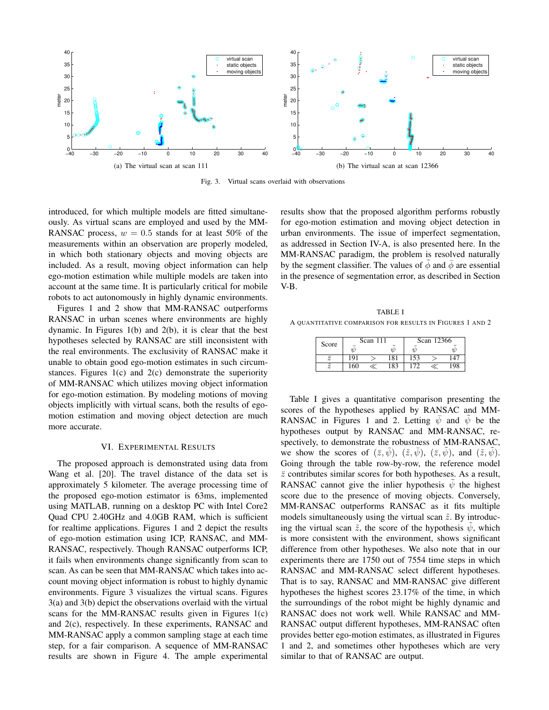

Fig. 3. Virtual scans overlaid with observations

introduced, for which multiple models are fitted simultaneously. As virtual scans are employed and used by the MM-RANSAC process,  $w = 0.5$  stands for at least 50% of the measurements within an observation are properly modeled, in which both stationary objects and moving objects are included. As a result, moving object information can help ego-motion estimation while multiple models are taken into account at the same time. It is particularly critical for mobile robots to act autonomously in highly dynamic environments.

Figures 1 and 2 show that MM-RANSAC outperforms RANSAC in urban scenes where environments are highly dynamic. In Figures 1(b) and 2(b), it is clear that the best hypotheses selected by RANSAC are still inconsistent with the real environments. The exclusivity of RANSAC make it unable to obtain good ego-motion estimates in such circumstances. Figures 1(c) and 2(c) demonstrate the superiority of MM-RANSAC which utilizes moving object information for ego-motion estimation. By modeling motions of moving objects implicitly with virtual scans, both the results of egomotion estimation and moving object detection are much more accurate.

# VI. EXPERIMENTAL RESULTS

The proposed approach is demonstrated using data from Wang et al. [20]. The travel distance of the data set is approximately 5 kilometer. The average processing time of the proposed ego-motion estimator is 63ms, implemented using MATLAB, running on a desktop PC with Intel Core2 Quad CPU 2.40GHz and 4.0GB RAM, which is sufficient for realtime applications. Figures 1 and 2 depict the results of ego-motion estimation using ICP, RANSAC, and MM-RANSAC, respectively. Though RANSAC outperforms ICP, it fails when environments change significantly from scan to scan. As can be seen that MM-RANSAC which takes into account moving object information is robust to highly dynamic environments. Figure 3 visualizes the virtual scans. Figures 3(a) and 3(b) depict the observations overlaid with the virtual scans for the MM-RANSAC results given in Figures 1(c) and 2(c), respectively. In these experiments, RANSAC and MM-RANSAC apply a common sampling stage at each time step, for a fair comparison. A sequence of MM-RANSAC results are shown in Figure 4. The ample experimental

results show that the proposed algorithm performs robustly for ego-motion estimation and moving object detection in urban environments. The issue of imperfect segmentation, as addressed in Section IV-A, is also presented here. In the MM-RANSAC paradigm, the problem is resolved naturally by the segment classifier. The values of  $\phi$  and  $\phi$  are essential in the presence of segmentation error, as described in Section V-B.

| TABLE I                                                  |  |  |
|----------------------------------------------------------|--|--|
| A QUANTITATIVE COMPARISON FOR RESULTS IN FIGURES 1 AND 2 |  |  |

| Score      | Scan 111            |  | Scan 12366                 |                     |  |     |
|------------|---------------------|--|----------------------------|---------------------|--|-----|
|            | $\boldsymbol{\eta}$ |  | $\tilde{\phantom{a}}$<br>N | $\boldsymbol{\eta}$ |  | IJ  |
|            | ۱Q۱                 |  | 181                        | 153                 |  | Δ.  |
| $\tilde{}$ |                     |  | 183                        | 172                 |  | 108 |

Table I gives a quantitative comparison presenting the scores of the hypotheses applied by RANSAC and MM-RANSAC in Figures 1 and 2. Letting  $\psi$  and  $\psi$  be the hypotheses output by RANSAC and MM-RANSAC, respectively, to demonstrate the robustness of MM-RANSAC, we show the scores of  $(\bar{z}, \bar{\psi}), (\tilde{z}, \bar{\psi}), (\bar{z}, \tilde{\psi}),$  and  $(\tilde{z}, \tilde{\psi}).$ Going through the table row-by-row, the reference model  $\bar{z}$  contributes similar scores for both hypotheses. As a result, RANSAC cannot give the inlier hypothesis  $\psi$  the highest score due to the presence of moving objects. Conversely, MM-RANSAC outperforms RANSAC as it fits multiple models simultaneously using the virtual scan  $\tilde{z}$ . By introducing the virtual scan  $\tilde{z}$ , the score of the hypothesis  $\tilde{\psi}$ , which is more consistent with the environment, shows significant difference from other hypotheses. We also note that in our experiments there are 1750 out of 7554 time steps in which RANSAC and MM-RANSAC select different hypotheses. That is to say, RANSAC and MM-RANSAC give different hypotheses the highest scores 23.17% of the time, in which the surroundings of the robot might be highly dynamic and RANSAC does not work well. While RANSAC and MM-RANSAC output different hypotheses, MM-RANSAC often provides better ego-motion estimates, as illustrated in Figures 1 and 2, and sometimes other hypotheses which are very similar to that of RANSAC are output.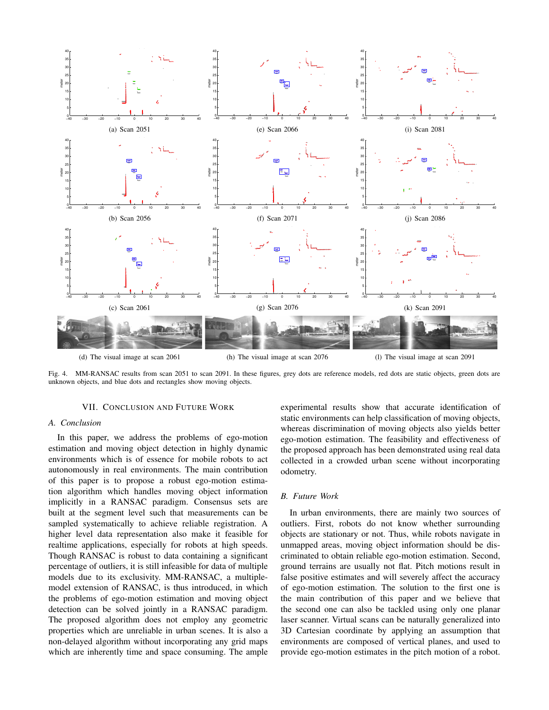

Fig. 4. MM-RANSAC results from scan 2051 to scan 2091. In these figures, grey dots are reference models, red dots are static objects, green dots are unknown objects, and blue dots and rectangles show moving objects.

## VII. CONCLUSION AND FUTURE WORK

# *A. Conclusion*

In this paper, we address the problems of ego-motion estimation and moving object detection in highly dynamic environments which is of essence for mobile robots to act autonomously in real environments. The main contribution of this paper is to propose a robust ego-motion estimation algorithm which handles moving object information implicitly in a RANSAC paradigm. Consensus sets are built at the segment level such that measurements can be sampled systematically to achieve reliable registration. A higher level data representation also make it feasible for realtime applications, especially for robots at high speeds. Though RANSAC is robust to data containing a significant percentage of outliers, it is still infeasible for data of multiple models due to its exclusivity. MM-RANSAC, a multiplemodel extension of RANSAC, is thus introduced, in which the problems of ego-motion estimation and moving object detection can be solved jointly in a RANSAC paradigm. The proposed algorithm does not employ any geometric properties which are unreliable in urban scenes. It is also a non-delayed algorithm without incorporating any grid maps which are inherently time and space consuming. The ample

experimental results show that accurate identification of static environments can help classification of moving objects, whereas discrimination of moving objects also yields better ego-motion estimation. The feasibility and effectiveness of the proposed approach has been demonstrated using real data collected in a crowded urban scene without incorporating odometry.

#### *B. Future Work*

In urban environments, there are mainly two sources of outliers. First, robots do not know whether surrounding objects are stationary or not. Thus, while robots navigate in unmapped areas, moving object information should be discriminated to obtain reliable ego-motion estimation. Second, ground terrains are usually not flat. Pitch motions result in false positive estimates and will severely affect the accuracy of ego-motion estimation. The solution to the first one is the main contribution of this paper and we believe that the second one can also be tackled using only one planar laser scanner. Virtual scans can be naturally generalized into 3D Cartesian coordinate by applying an assumption that environments are composed of vertical planes, and used to provide ego-motion estimates in the pitch motion of a robot.